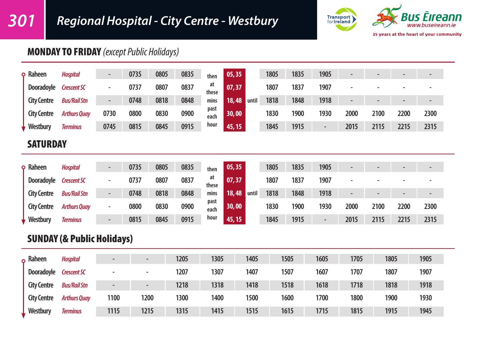

## MONDAY TO FRIDAY *(except Public Holidays)*

| <b>SATURDAY</b>    |                     |                          |      |      |      |              |                |      |      |                          |                          |      |      |                          |
|--------------------|---------------------|--------------------------|------|------|------|--------------|----------------|------|------|--------------------------|--------------------------|------|------|--------------------------|
| Westbury           | <b>Terminus</b>     | 0745                     | 0815 | 0845 | 0915 | hour         | 45, 15         | 1845 | 1915 | $\overline{\phantom{a}}$ | 2015                     | 2115 | 2215 | 2315                     |
| <b>City Centre</b> | <b>Arthurs Quay</b> | 0730                     | 0800 | 0830 | 0900 | past<br>each | 30,00          | 1830 | 1900 | 1930                     | 2000                     | 2100 | 2200 | 2300                     |
| <b>City Centre</b> | <b>Bus/Rail Stn</b> | $\overline{\phantom{a}}$ | 0748 | 0818 | 0848 | mins         | 18,48<br>until | 1818 | 1848 | 1918                     | $\overline{\phantom{0}}$ |      |      | $\overline{\phantom{0}}$ |
| Dooradoyle         | <b>Crescent SC</b>  | $\sim$                   | 0737 | 0807 | 0837 | at<br>these  | 07,37          | 1807 | 1837 | 1907                     | $\overline{\phantom{a}}$ |      |      |                          |
| $\varphi$ Raheen   | <b>Hospital</b>     | $\overline{\phantom{0}}$ | 0735 | 0805 | 0835 | then         | 05, 35         | 1805 | 1835 | 1905                     | $\overline{\phantom{0}}$ |      |      | $\overline{\phantom{a}}$ |

| <b>Q</b> Raheen    | <b>Hospital</b>     | $\overline{\phantom{0}}$ | 0735 | 0805 | 0835 | then         | 05, 35         | 1805 | 1835 | 1905                     |      | $\overline{\phantom{0}}$ |      | $\overline{\phantom{0}}$ |
|--------------------|---------------------|--------------------------|------|------|------|--------------|----------------|------|------|--------------------------|------|--------------------------|------|--------------------------|
| Dooradovle         | <b>Crescent SC</b>  |                          | 0737 | 0807 | 0837 | at<br>these  | 07.37          | 1807 | 1837 | 1907                     |      | $\overline{\phantom{0}}$ |      |                          |
| <b>City Centre</b> | <b>Bus/Rail Stn</b> | $\overline{\phantom{0}}$ | 0748 | 0818 | 0848 | mins         | 18,48<br>until | 1818 | 1848 | 1918                     |      |                          |      | $\overline{\phantom{0}}$ |
| <b>City Centre</b> | <b>Arthurs Quay</b> | $\overline{\phantom{0}}$ | 0800 | 0830 | 0900 | past<br>each | 30,00          | 1830 | 1900 | 1930                     | 2000 | 2100                     | 2200 | 2300                     |
| Westbury           | <b>Terminus</b>     | $\overline{\phantom{0}}$ | 0815 | 0845 | 0915 | hour         | 45, 15         | 1845 | 1915 | $\overline{\phantom{0}}$ | 2015 | 2115                     | 2215 | 2315                     |

# SUNDAY (& Public Holidays)

| Raheen<br>$\Omega$ | <b>Hospital</b>     | $\overline{\phantom{a}}$ |      | 1205 | 1305 | 1405 | 1505 | 1605 | 1705 | 1805 | 1905 |
|--------------------|---------------------|--------------------------|------|------|------|------|------|------|------|------|------|
| Dooradoyle         | <b>Crescent SC</b>  |                          |      | 1207 | 1307 | 1407 | 1507 | 1607 | 1707 | 1807 | 1907 |
| <b>City Centre</b> | <b>Bus/Rail Stn</b> | $\overline{\phantom{a}}$ |      | 1218 | 1318 | 1418 | 1518 | 1618 | 1718 | 1818 | 1918 |
| <b>City Centre</b> | <b>Arthurs Quay</b> | 1100                     | 1200 | 1300 | 1400 | 1500 | 1600 | 1700 | 1800 | 1900 | 1930 |
| Westbury           | <b>Terminus</b>     | 1115                     | 1215 | 1315 | 1415 | 1515 | 1615 | 1715 | 1815 | 1915 | 1945 |